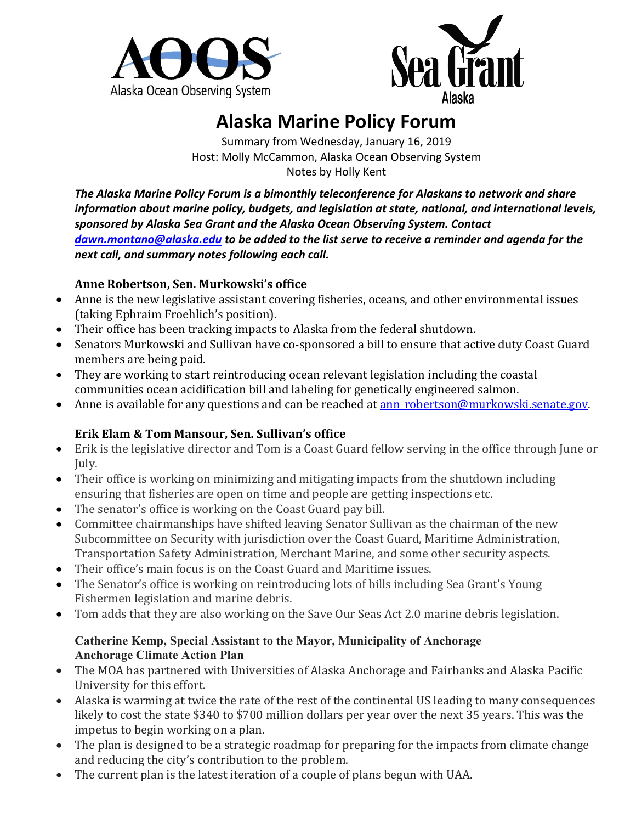



# **Alaska Marine Policy Forum**

Summary from Wednesday, January 16, 2019 Host: Molly McCammon, Alaska Ocean Observing System Notes by Holly Kent

*The Alaska Marine Policy Forum is a bimonthly teleconference for Alaskans to network and share information about marine policy, budgets, and legislation at state, national, and international levels, sponsored by Alaska Sea Grant and the Alaska Ocean Observing System. Contact [dawn.montano@alaska.edu](mailto:dawn.montano@alaska.edu) to be added to the list serve to receive a reminder and agenda for the next call, and summary notes following each call.* 

## **Anne Robertson, Sen. Murkowski's office**

- Anne is the new legislative assistant covering fisheries, oceans, and other environmental issues (taking Ephraim Froehlich's position).
- Their office has been tracking impacts to Alaska from the federal shutdown.
- Senators Murkowski and Sullivan have co-sponsored a bill to ensure that active duty Coast Guard members are being paid.
- They are working to start reintroducing ocean relevant legislation including the coastal communities ocean acidification bill and labeling for genetically engineered salmon.
- Anne is available for any questions and can be reached at **ann** robertson@murkowski.senate.gov.

# **Erik Elam & Tom Mansour, Sen. Sullivan's office**

- Erik is the legislative director and Tom is a Coast Guard fellow serving in the office through June or July.
- Their office is working on minimizing and mitigating impacts from the shutdown including ensuring that fisheries are open on time and people are getting inspections etc.
- The senator's office is working on the Coast Guard pay bill.
- Committee chairmanships have shifted leaving Senator Sullivan as the chairman of the new Subcommittee on Security with jurisdiction over the Coast Guard, Maritime Administration, Transportation Safety Administration, Merchant Marine, and some other security aspects.
- Their office's main focus is on the Coast Guard and Maritime issues.
- The Senator's office is working on reintroducing lots of bills including Sea Grant's Young Fishermen legislation and marine debris.
- Tom adds that they are also working on the Save Our Seas Act 2.0 marine debris legislation.

#### **Catherine Kemp, Special Assistant to the Mayor, Municipality of Anchorage Anchorage Climate Action Plan**

- The MOA has partnered with Universities of Alaska Anchorage and Fairbanks and Alaska Pacific University for this effort.
- Alaska is warming at twice the rate of the rest of the continental US leading to many consequences likely to cost the state \$340 to \$700 million dollars per year over the next 35 years. This was the impetus to begin working on a plan.
- The plan is designed to be a strategic roadmap for preparing for the impacts from climate change and reducing the city's contribution to the problem.
- The current plan is the latest iteration of a couple of plans begun with UAA.